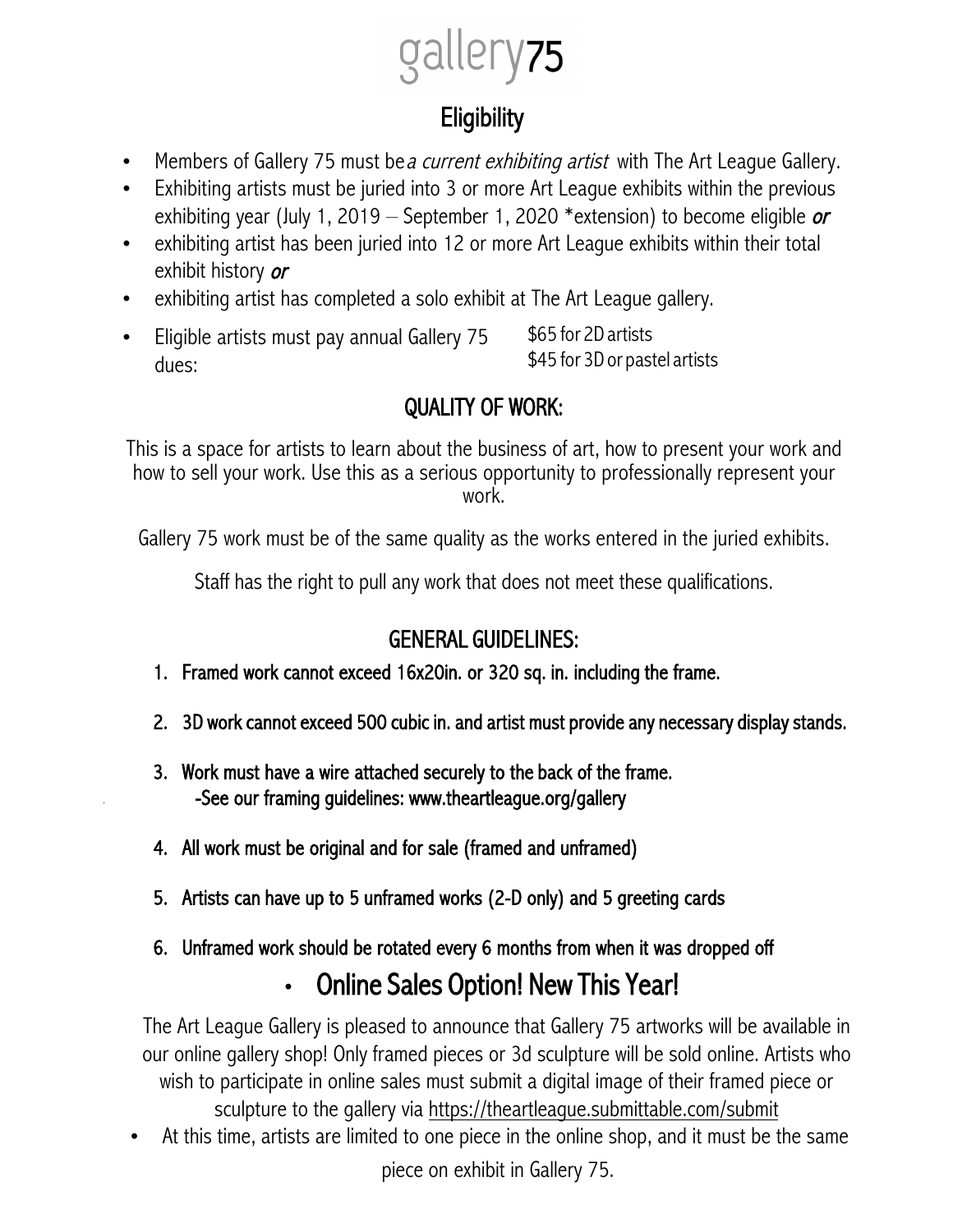# gallery75

# **Eligibility**

- Members of Gallery 75 must be a current exhibiting artist with The Art League Gallery.
- Exhibiting artists must be juried into 3 or more Art League exhibits within the previous exhibiting year (July 1, 2019 – September 1, 2020 \*extension) to become eligible  $or$
- exhibiting artist has been juried into 12 or more Art League exhibits within their total exhibit history or
- exhibiting artist has completed a solo exhibit at The Art League gallery.
- Eligible artists must pay annual Gallery 75 dues: \$65 for 2D artists \$45 for 3D or pastel artists

### QUALITY OF WORK:

This is a space for artists to learn about the business of art, how to present your work and how to sell your work. Use this as a serious opportunity to professionally represent your work.

Gallery 75 work must be of the same quality as the works entered in the juried exhibits.

Staff has the right to pull any work that does not meet these qualifications.

#### GENERAL GUIDELINES:

- 1. Framed work cannot exceed 16x20in. or 320 sq. in. including the frame.
- 2. 3D work cannot exceed 500 cubic in. and artist must provide any necessary display stands.
- 3. Work must have a wire attached securely to the back of the frame. -See our framing guidelines: www.theartleague.org/gallery
- 4. All work must be original and for sale (framed and unframed)
- 5. Artists can have up to 5 unframed works (2-D only) and 5 greeting cards
- 6. Unframed work should be rotated every 6 months from when it was dropped off

# • Online Sales Option! New This Year!

The Art League Gallery is pleased to announce that Gallery 75 artworks will be available in our online gallery shop! Only framed pieces or 3d sculpture will be sold online. Artists who wish to participate in online sales must submit a digital image of their framed piece or sculpture to the gallery via https://theartleague.submittable.com/submit

• At this time, artists are limited to one piece in the online shop, and it must be the same piece on exhibit in Gallery 75.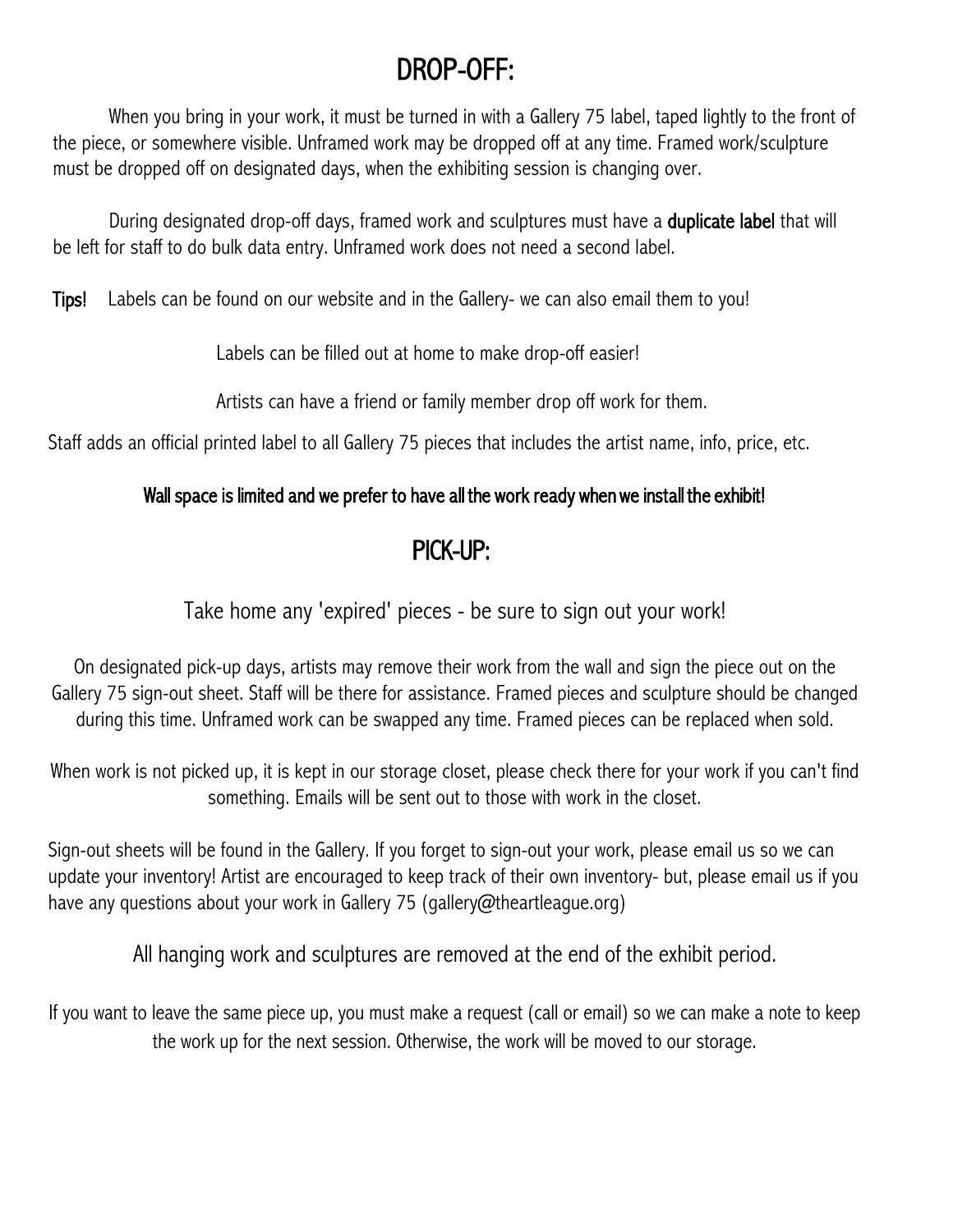# DROP-OFF:

When you bring in your work, it must be turned in with a Gallery 75 label, taped lightly to the front of the piece, or somewhere visible. Unframed work may be dropped off at any time. Framed work/sculpture must be dropped off on designated days, when the exhibiting session is changing over.

During designated drop-off days, framed work and sculptures must have a **duplicate label** that will be left for staff to do bulk data entry. Unframed work does not need a second label.

Tips! Labels can be found on our website and in the Gallery- we can also email them to you!

Labels can be filled out at home to make drop-off easier!

Artists can have a friend or family member drop off work for them.

Staff adds an official printed label to all Gallery 75 pieces that includes the artist name, info, price, etc.

#### Wall space is limited and we prefer to have all the work ready when we install the exhibit!

## PICK-UP:

Take home any 'expired' pieces - be sure to sign out your work!

On designated pick-up days, artists may remove their work from the wall and sign the piece out on the Gallery 75 sign-out sheet. Staff will be there for assistance. Framed pieces and sculpture should be changed during this time. Unframed work can be swapped any time. Framed pieces can be replaced when sold.

When work is not picked up, it is kept in our storage closet, please check there for your work if you can't find something. Emails will be sent out to those with work in the closet.

Sign-out sheets will be found in the Gallery. If you forget to sign-out your work, please email us so we can update your inventory! Artist are encouraged to keep track of their own inventory- but, please email us if you have any questions about your work in Gallery 75 (gallery@theartleague.org)

All hanging work and sculptures are removed at the end of the exhibit period.

If you want to leave the same piece up, you must make a request (call or email) so we can make a note to keep the work up for the next session. Otherwise, the work will be moved to our storage.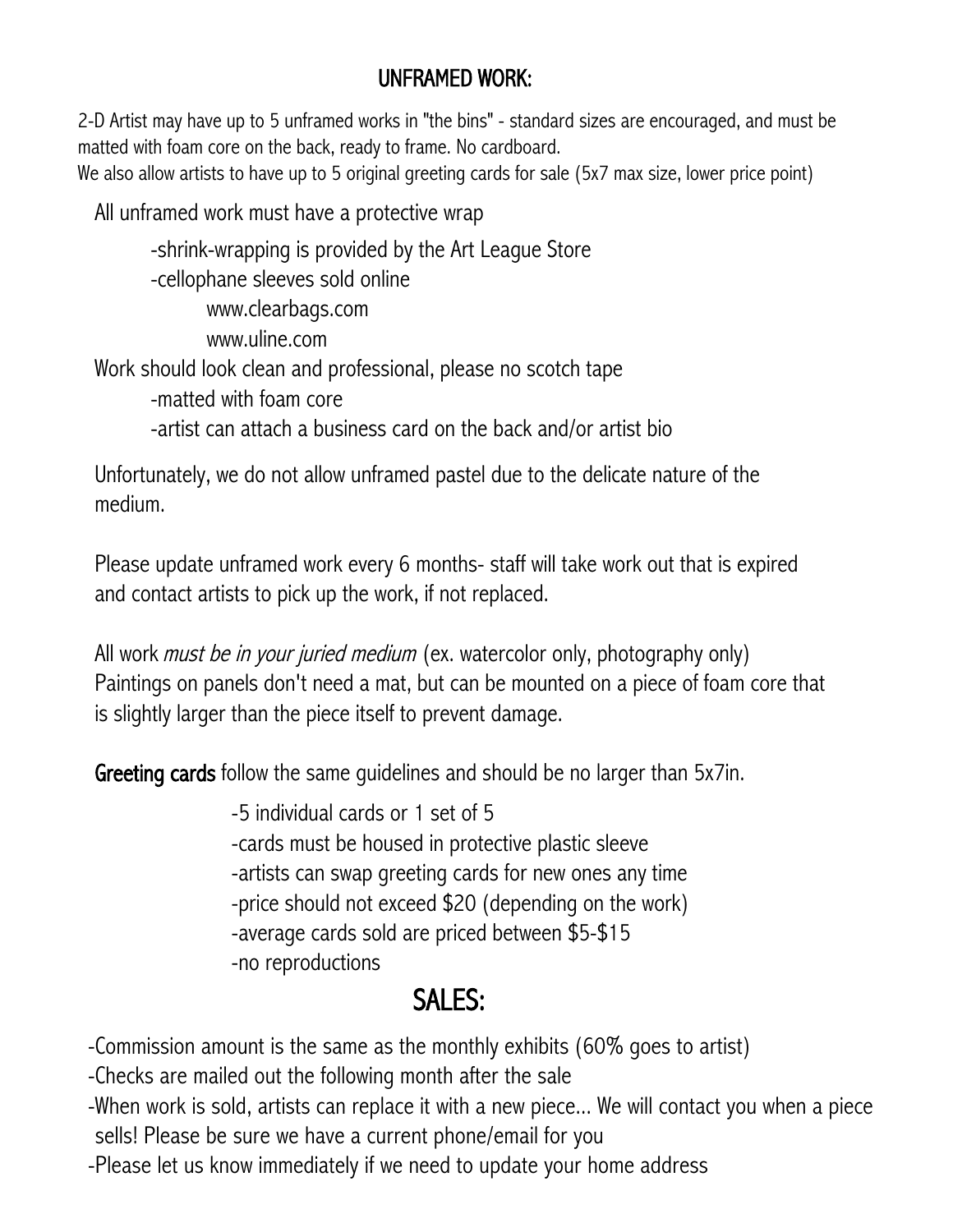### UNFRAMED WORK:

2-D Artist may have up to 5 unframed works in "the bins" - standard sizes are encouraged, and must be matted with foam core on the back, ready to frame. No cardboard.

We also allow artists to have up to 5 original greeting cards for sale (5x7 max size, lower price point)

All unframed work must have a protective wrap

-shrink-wrapping is provided by the Art League Store -cellophane sleeves sold online www.clearbags.com www.uline.com Work should look clean and professional, please no scotch tape -matted with foam core -artist can attach a business card on the back and/or artist bio

Unfortunately, we do not allow unframed pastel due to the delicate nature of the medium.

Please update unframed work every 6 months- staff will take work out that is expired and contact artists to pick up the work, if not replaced.

All work *must be in your juried medium* (ex. watercolor only, photography only) Paintings on panels don't need a mat, but can be mounted on a piece of foam core that is slightly larger than the piece itself to prevent damage.

Greeting cards follow the same guidelines and should be no larger than 5x7in.

-5 individual cards or 1 set of 5

-cards must be housed in protective plastic sleeve

-artists can swap greeting cards for new ones any time

-price should not exceed \$20 (depending on the work)

-average cards sold are priced between \$5-\$15

-no reproductions

# SALES:

-Commission amount is the same as the monthly exhibits (60% goes to artist)

-Checks are mailed out the following month after the sale

-When work is sold, artists can replace it with a new piece... We will contact you when a piece sells! Please be sure we have a current phone/email for you

-Please let us know immediately if we need to update your home address